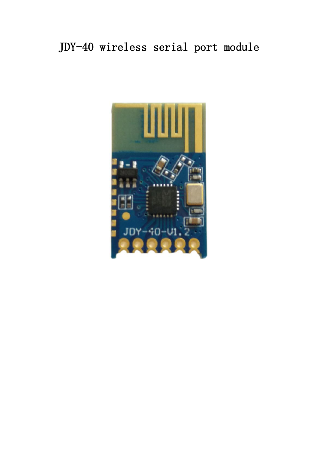# JDY-40 wireless serial port module

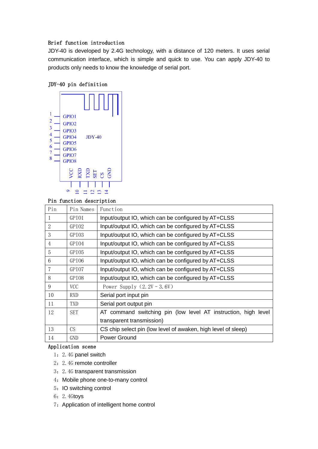## Brief function introduction

JDY-40 is developed by 2.4G technology, with a distance of 120 meters. It uses serial communication interface, which is simple and quick to use. You can apply JDY-40 to products only needs to know the knowledge of serial port.

## JDY-40 pin definition



## Pin function description

| Pin            | Pin Names  | Function                                                       |
|----------------|------------|----------------------------------------------------------------|
|                | GPI01      | Input/output IO, which can be configured by AT+CLSS            |
| $\overline{2}$ | GPI02      | Input/output IO, which can be configured by AT+CLSS            |
| 3              | GPI03      | Input/output IO, which can be configured by AT+CLSS            |
| 4              | GPI04      | Input/output IO, which can be configured by AT+CLSS            |
| 5              | GPI05      | Input/output IO, which can be configured by AT+CLSS            |
| 6              | GPI06      | Input/output IO, which can be configured by AT+CLSS            |
| 7              | GPI07      | Input/output IO, which can be configured by AT+CLSS            |
| 8              | GPI08      | Input/output IO, which can be configured by AT+CLSS            |
| 9              | <b>VCC</b> | Power Supply $(2.2V - 3.6V)$                                   |
| 10             | RXD        | Serial port input pin                                          |
| 11             | TXD        | Serial port output pin                                         |
| 12             | <b>SET</b> | AT command switching pin (low level AT instruction, high level |
|                |            | transparent transmission)                                      |
| 13             | <b>CS</b>  | CS chip select pin (low level of awaken, high level of sleep)  |
| 14             | GND        | Power Ground                                                   |

## Application scene

- 1:2.4G panel switch
- 2: 2.4G remote controller
- 3:2.4G transparent transmission
- 4: Mobile phone one-to-many control
- 5: IO switching control
- 6:2.4Gtoys
- 7: Application of intelligent home control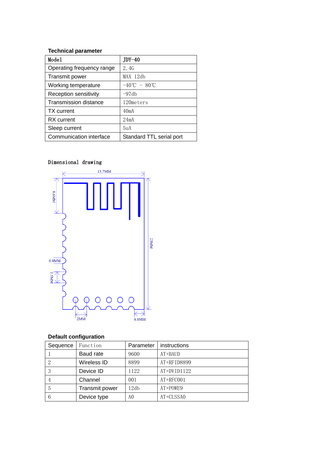## **Technical parameter**

| Mode1                        | $JDY-40$                                   |
|------------------------------|--------------------------------------------|
| Operating frequency range    | 2.4G                                       |
| Transmit power               | MAX 12db                                   |
| Working temperature          | $-40^{\circ}\text{C} - 80^{\circ}\text{C}$ |
| Reception sensitivity        | $-97db$                                    |
| <b>Transmission distance</b> | 120meters                                  |
| <b>TX</b> current            | 40mA                                       |
| <b>RX</b> current            | 24mA                                       |
| Sleep current                | 5 <sub>uA</sub>                            |
| Communication interface      | Standard TTL serial port                   |

# Dimensional drawing



# **Default configuration**

| Sequence | Function       | Parameter | instructions |
|----------|----------------|-----------|--------------|
|          | Baud rate      | 9600      | $AT+BAUD$    |
| 2        | Wireless ID    | 8899      | AT+RFID8899  |
| 3        | Device ID      | 1122      | AT+DVID1122  |
|          | Channel        | 001       | AT+RFC001    |
| 5        | Transmit power | 12db      | AT+POWE9     |
| 6        | Device type    | A0        | AT+CLSSA0    |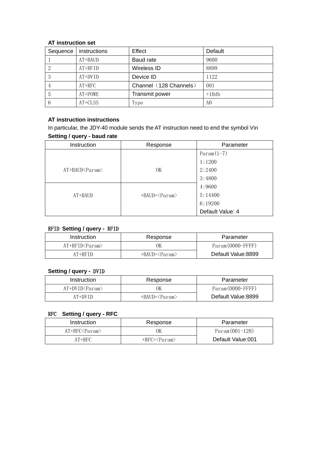## **AT instruction set**

| Sequence | instructions | Effect                 | Default |
|----------|--------------|------------------------|---------|
|          | $AT+BAUD$    | Baud rate              | 9600    |
|          | $AT+RFID$    | Wireless ID            | 8899    |
|          | $AT+DVID$    | Device ID              | 1122    |
|          | $AT+RFC$     | Channel (128 Channels) | 001     |
| 5        | AT+POWE      | Transmit power         | $+10db$ |
| 6        | AT+CLSS      | Type                   | A0      |

## **AT instruction instructions**

In particular, the JDY-40 module sends the AT instruction need to end the symbol \r\n **Setting / query - baud rate**

| Instruction       | Response                      | Parameter        |
|-------------------|-------------------------------|------------------|
|                   |                               | $Param(1-7)$     |
|                   |                               | 1:1200           |
| $AT+BAUD < Param$ | 0K                            | 2:2400           |
|                   |                               | 3:4800           |
|                   |                               | 4:9600           |
| $AT+BAUD$         | $+BAUD=\langle Param \rangle$ | 5:14400          |
|                   |                               | 6:19200          |
|                   |                               | Default Value: 4 |

## RFID **Setting / query -** RFID

| Instruction           | Response        | Parameter          |
|-----------------------|-----------------|--------------------|
| $AT+RFID <$ Param $>$ | OК              | Param(0000–FFFF)   |
| $AT+RFID$             | +BAUD= <param/> | Default Value:8899 |

## **Setting / query -** DVID

| Instruction                   | Response        | Parameter          |
|-------------------------------|-----------------|--------------------|
| $AT+DVID\langle Param\rangle$ | ЭK              | Param(0000–FFFF)   |
| $AT+DVID$                     | +BAUD= <param/> | Default Value:8899 |

## RFC **Setting / query - RFC**

| Instruction      | Response                           | Parameter         |
|------------------|------------------------------------|-------------------|
| $AT+RFC<$ Param> | OК                                 | $Param(001-128)$  |
| AT+RFC           | $+$ RFC= $\langle$ Param $\rangle$ | Default Value:001 |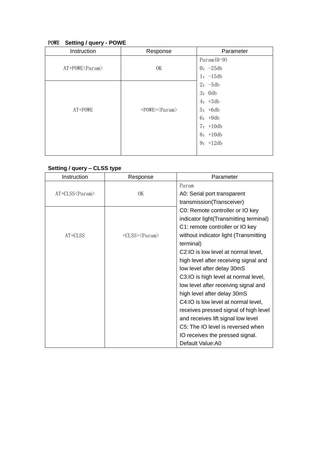# POWE **Setting / query - POWE**

| Instruction      | Response                            | Parameter    |
|------------------|-------------------------------------|--------------|
|                  |                                     | $Param(0-9)$ |
| AT+POWE <param/> | OK                                  | $0: -25db$   |
|                  |                                     | $1: -15db$   |
|                  |                                     | $2: -5db$    |
|                  |                                     | 3:0db        |
|                  |                                     | $4: +3db$    |
| AT+POWE          | $+$ POWE= $\langle$ Param $\rangle$ | $5: +6db$    |
|                  |                                     | $6: +9db$    |
|                  |                                     | $7: +10db$   |
|                  |                                     | $8: +10db$   |
|                  |                                     | $9: +12db$   |
|                  |                                     |              |

# **Setting / query – CLSS type**

| Instruction      | Response                      | Parameter                              |
|------------------|-------------------------------|----------------------------------------|
|                  |                               | Param                                  |
| AT+CLSS <param/> | OK                            | A0: Serial port transparent            |
|                  |                               | transmission(Transceiver)              |
|                  |                               | C0: Remote controller or IO key        |
|                  |                               | indicator light(Transmitting terminal) |
|                  |                               | C1: remote controller or IO key        |
| $AT+CLSS$        | $+CLSS=\langle Param \rangle$ | without indicator light (Transmitting  |
|                  |                               | terminal)                              |
|                  |                               | C2:IO is low level at normal level,    |
|                  |                               | high level after receiving signal and  |
|                  |                               | low level after delay 30mS             |
|                  |                               | C3:IO is high level at normal level,   |
|                  |                               | low level after receiving signal and   |
|                  |                               | high level after delay 30mS            |
|                  |                               | C4: IO is low level at normal level,   |
|                  |                               | receives pressed signal of high level  |
|                  |                               | and receives lift signal low level     |
|                  |                               | C5: The IO level is reversed when      |
|                  |                               | IO receives the pressed signal.        |
|                  |                               | Default Value: A0                      |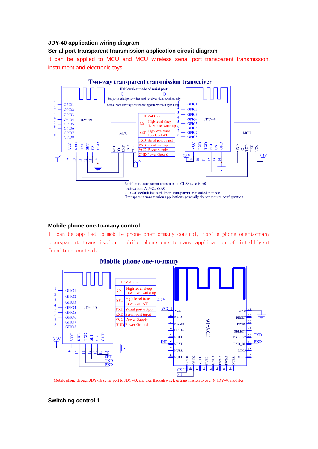#### **JDY-40 application wiring diagram**

#### **Serial port transparent transmission application circuit diagram**

It can be applied to MCU and MCU wireless serial port transparent transmission, instrument and electronic toys.



#### **Mobile phone one-to-many control**

It can be applied to mobile phone one-to-many control, mobile phone one-to-many transparent transmission, mobile phone one-to-many application of intelligent furniture control.



Mobile phone through JDY-16 serial port to JDY-40, and then through wireless transmission to over N JDY-40 modules

**Switching control 1**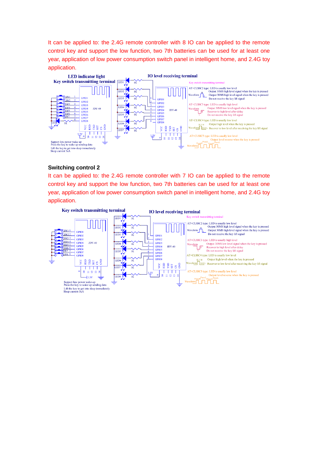It can be applied to: the 2.4G remote controller with 8 IO can be applied to the remote control key and support the low function, two 7th batteries can be used for at least one year, application of low power consumption switch panel in intelligent home, and 2.4G toy application.



#### **Switching control 2**

It can be applied to: the 2.4G remote controller with 7 IO can be applied to the remote control key and support the low function, two 7th batteries can be used for at least one year, application of low power consumption switch panel in intelligent home, and 2.4G toy application.